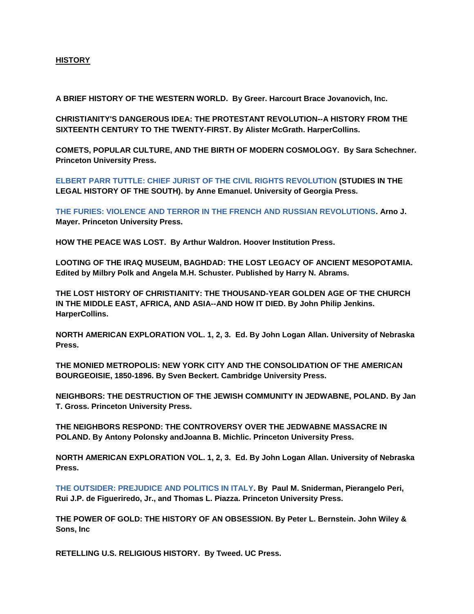## **HISTORY**

**A BRIEF HISTORY OF THE WESTERN WORLD. By Greer. Harcourt Brace Jovanovich, Inc.**

**CHRISTIANITY'S DANGEROUS IDEA: THE PROTESTANT REVOLUTION--A HISTORY FROM THE SIXTEENTH CENTURY TO THE TWENTY-FIRST. By Alister McGrath. HarperCollins.**

**COMETS, POPULAR CULTURE, AND THE BIRTH OF MODERN COSMOLOGY. By Sara Schechner. Princeton University Press.**

**[ELBERT PARR TUTTLE: CHIEF JURIST OF THE CIVIL RIGHTS REVOLUTION](https://www.amazon.com/Elbert-Parr-Tuttle-Revolution-Studies/dp/0820339474/ref=sr_1_1_twi_har_2?s=books&ie=UTF8&qid=1490654852&sr=1-1&keywords=ELBERT+PARR+TUTTLE%3A+CHIEF+JURIST+OF+THE+CIVIL+RIGHTS+REVOLUTION) (STUDIES IN THE LEGAL HISTORY OF THE SOUTH). by Anne Emanuel. University of Georgia Press.**

**[THE FURIES: VIOLENCE AND TERROR IN THE FRENCH AND RUSSIAN REVOLUTIONS.](https://www.amazon.com/Elbert-Parr-Tuttle-Revolution-Studies/dp/0820339474/ref=sr_1_1_twi_har_2?s=books&ie=UTF8&qid=1490654852&sr=1-1&keywords=ELBERT+PARR+TUTTLE%3A+CHIEF+JURIST+OF+THE+CIVIL+RIGHTS+REVOLUTION) Arno J. Mayer. Princeton University Press.**

**HOW THE PEACE WAS LOST. By Arthur Waldron. Hoover Institution Press.**

**LOOTING OF THE IRAQ MUSEUM, BAGHDAD: THE LOST LEGACY OF ANCIENT MESOPOTAMIA. Edited by Milbry Polk and Angela M.H. Schuster. Published by Harry N. Abrams.**

**THE LOST HISTORY OF CHRISTIANITY: THE THOUSAND-YEAR GOLDEN AGE OF THE CHURCH IN THE MIDDLE EAST, AFRICA, AND ASIA--AND HOW IT DIED. By John Philip Jenkins. HarperCollins.**

**NORTH AMERICAN EXPLORATION VOL. 1, 2, 3. Ed. By John Logan Allan. University of Nebraska Press.**

**THE MONIED METROPOLIS: NEW YORK CITY AND THE CONSOLIDATION OF THE AMERICAN BOURGEOISIE, 1850-1896. By Sven Beckert. Cambridge University Press.**

**NEIGHBORS: THE DESTRUCTION OF THE JEWISH COMMUNITY IN JEDWABNE, POLAND. By Jan T. Gross. Princeton University Press.**

**THE NEIGHBORS RESPOND: THE CONTROVERSY OVER THE JEDWABNE MASSACRE IN POLAND. By Antony Polonsky andJoanna B. Michlic. Princeton University Press.**

**NORTH AMERICAN EXPLORATION VOL. 1, 2, 3. Ed. By John Logan Allan. University of Nebraska Press.**

**[THE OUTSIDER: PREJUDICE AND POLITICS IN ITALY.](http://www.amazon.com/s/ref=nb_sb_noss?url=search-alias%3Dstripbooks&field-keywords=THE+FURIES%3A+VIOLENCE+AND+TERROR+IN+THE+FRENCH+AND+RUSSIAN+REVOLUTIONS#/ref=nb_sb_noss?url=search-alias%3Dstripbooks&field-keywords=THE+OUTSIDER%3A+PREJUDICE+AND+POLITICS+IN+ITALY&rh=n%3A283155%2Ck%3ATHE+OUTSIDER%3A+PREJUDICE+AND+POLITICS+IN+ITALY) By Paul M. Sniderman, Pierangelo Peri, Rui J.P. de Figueriredo, Jr., and Thomas L. Piazza. Princeton University Press.**

**THE POWER OF GOLD: THE HISTORY OF AN OBSESSION. By Peter L. Bernstein. John Wiley & Sons, Inc**

**RETELLING U.S. RELIGIOUS HISTORY. By Tweed. UC Press.**